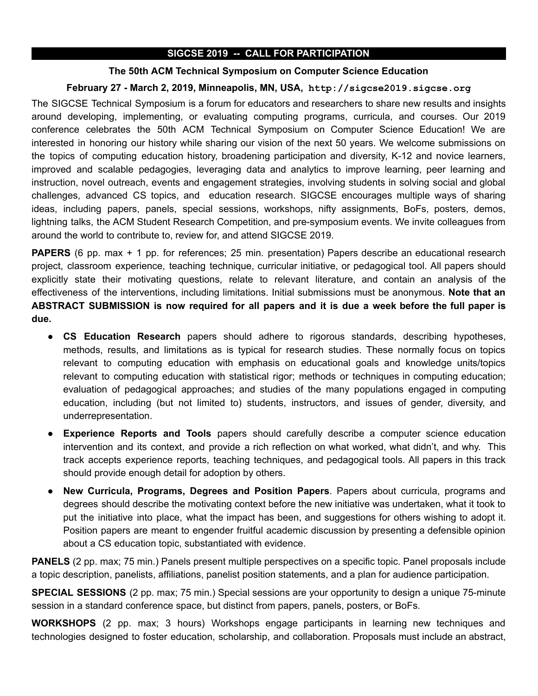## SIGCSE 2019 -- CALL FOR PARTICIPATION

### The 50th ACM Technical Symposium on Computer Science Education

## February 27 - March 2, 2019, Minneapolis, MN, USA, http://sigcse2019.sigcse.org

The SIGCSE Technical Symposium is a forum for educators and researchers to share new results and insights around developing, implementing, or evaluating computing programs, curricula, and courses. Our 2019 conference celebrates the 50th ACM Technical Symposium on Computer Science Education! We are interested in honoring our history while sharing our vision of the next 50 years. We welcome submissions on the topics of computing education history, broadening participation and diversity, K-12 and novice learners, improved and scalable pedagogies, leveraging data and analytics to improve learning, peer learning and instruction, novel outreach, events and engagement strategies, involving students in solving social and global challenges, advanced CS topics, and education research. SIGCSE encourages multiple ways of sharing ideas, including papers, panels, special sessions, workshops, nifty assignments, BoFs, posters, demos, lightning talks, the ACM Student Research Competition, and pre-symposium events. We invite colleagues from around the world to contribute to, review for, and attend SIGCSE 2019.

PAPERS (6 pp. max + 1 pp. for references; 25 min. presentation) Papers describe an educational research project, classroom experience, teaching technique, curricular initiative, or pedagogical tool. All papers should explicitly state their motivating questions, relate to relevant literature, and contain an analysis of the effectiveness of the interventions, including limitations. Initial submissions must be anonymous. Note that an ABSTRACT SUBMISSION is now required for all papers and it is due a week before the full paper is due.

- CS Education Research papers should adhere to rigorous standards, describing hypotheses, methods, results, and limitations as is typical for research studies. These normally focus on topics relevant to computing education with emphasis on educational goals and knowledge units/topics relevant to computing education with statistical rigor; methods or techniques in computing education; evaluation of pedagogical approaches; and studies of the many populations engaged in computing education, including (but not limited to) students, instructors, and issues of gender, diversity, and underrepresentation.
- **Experience Reports and Tools** papers should carefully describe a computer science education intervention and its context, and provide a rich reflection on what worked, what didn't, and why. This track accepts experience reports, teaching techniques, and pedagogical tools. All papers in this track should provide enough detail for adoption by others.
- New Curricula, Programs, Degrees and Position Papers. Papers about curricula, programs and degrees should describe the motivating context before the new initiative was undertaken, what it took to put the initiative into place, what the impact has been, and suggestions for others wishing to adopt it. Position papers are meant to engender fruitful academic discussion by presenting a defensible opinion about a CS education topic, substantiated with evidence.

PANELS (2 pp. max; 75 min.) Panels present multiple perspectives on a specific topic. Panel proposals include a topic description, panelists, affiliations, panelist position statements, and a plan for audience participation.

SPECIAL SESSIONS (2 pp. max; 75 min.) Special sessions are your opportunity to design a unique 75-minute session in a standard conference space, but distinct from papers, panels, posters, or BoFs.

WORKSHOPS (2 pp. max; 3 hours) Workshops engage participants in learning new techniques and technologies designed to foster education, scholarship, and collaboration. Proposals must include an abstract,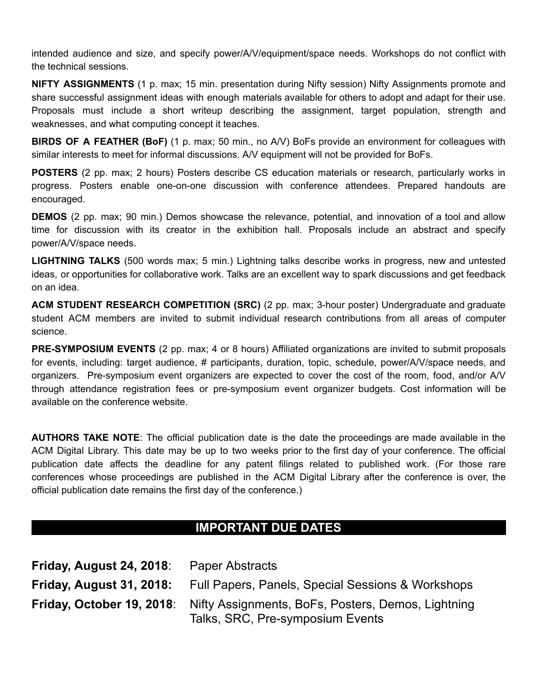intended audience and size, and specify power/A/V/equipment/space needs. Workshops do not conflict with the technical sessions.

NIFTY ASSIGNMENTS (1 p. max; 15 min. presentation during Nifty session) Nifty Assignments promote and share successful assignment ideas with enough materials available for others to adopt and adapt for their use. Proposals must include a short writeup describing the assignment, target population, strength and weaknesses, and what computing concept it teaches.

BIRDS OF A FEATHER (BoF) (1 p. max; 50 min., no A/V) BoFs provide an environment for colleagues with similar interests to meet for informal discussions. A/V equipment will not be provided for BoFs.

POSTERS (2 pp. max; 2 hours) Posters describe CS education materials or research, particularly works in progress. Posters enable one-on-one discussion with conference attendees. Prepared handouts are encouraged.

DEMOS (2 pp. max; 90 min.) Demos showcase the relevance, potential, and innovation of a tool and allow time for discussion with its creator in the exhibition hall. Proposals include an abstract and specify power/A/V/space needs.

LIGHTNING TALKS (500 words max; 5 min.) Lightning talks describe works in progress, new and untested ideas, or opportunities for collaborative work. Talks are an excellent way to spark discussions and get feedback on an idea.

ACM STUDENT RESEARCH COMPETITION (SRC) (2 pp. max; 3-hour poster) Undergraduate and graduate student ACM members are invited to submit individual research contributions from all areas of computer science.

PRE-SYMPOSIUM EVENTS (2 pp. max; 4 or 8 hours) Affiliated organizations are invited to submit proposals for events, including: target audience, # participants, duration, topic, schedule, power/A/V/space needs, and organizers. Pre-symposium event organizers are expected to cover the cost of the room, food, and/or A/V through attendance registration fees or pre-symposium event organizer budgets. Cost information will be available on the conference website.

AUTHORS TAKE NOTE: The official publication date is the date the proceedings are made available in the ACM Digital Library. This date may be up to two weeks prior to the first day of your conference. The official publication date affects the deadline for any patent filings related to published work. (For those rare conferences whose proceedings are published in the ACM Digital Library after the conference is over, the official publication date remains the first day of the conference.)

# IMPORTANT DUE DATES

| <b>Friday, August 24, 2018:</b> | <b>Paper Abstracts</b>                                                                                                  |
|---------------------------------|-------------------------------------------------------------------------------------------------------------------------|
|                                 | <b>Friday, August 31, 2018:</b> Full Papers, Panels, Special Sessions & Workshops                                       |
|                                 | <b>Friday, October 19, 2018:</b> Nifty Assignments, BoFs, Posters, Demos, Lightning<br>Talks, SRC, Pre-symposium Events |